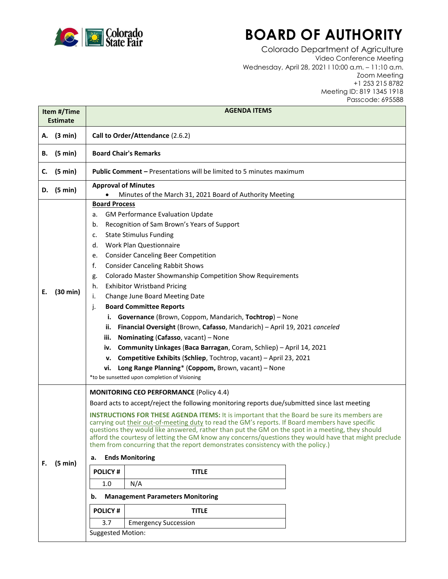

## **BOARD OF AUTHORITY**

Colorado Department of Agriculture Video Conference Meeting Wednesday, April 28, 2021 l 10:00 a.m. – 11:10 a.m. Zoom Meeting +1 253 215 8782 Meeting ID: 819 1345 1918 Passcode: 695588

| Item #/Time<br><b>Estimate</b> |                   | <b>AGENDA ITEMS</b>                                                                                                                                                                                                                                                                                                                                                                                                                                                                                                                                                                                                                                                                                                                                                                                                                                                                                                                                                                      |
|--------------------------------|-------------------|------------------------------------------------------------------------------------------------------------------------------------------------------------------------------------------------------------------------------------------------------------------------------------------------------------------------------------------------------------------------------------------------------------------------------------------------------------------------------------------------------------------------------------------------------------------------------------------------------------------------------------------------------------------------------------------------------------------------------------------------------------------------------------------------------------------------------------------------------------------------------------------------------------------------------------------------------------------------------------------|
|                                | A. (3 min)        | Call to Order/Attendance (2.6.2)                                                                                                                                                                                                                                                                                                                                                                                                                                                                                                                                                                                                                                                                                                                                                                                                                                                                                                                                                         |
|                                | <b>B.</b> (5 min) | <b>Board Chair's Remarks</b>                                                                                                                                                                                                                                                                                                                                                                                                                                                                                                                                                                                                                                                                                                                                                                                                                                                                                                                                                             |
|                                | C. $(5 min)$      | <b>Public Comment - Presentations will be limited to 5 minutes maximum</b>                                                                                                                                                                                                                                                                                                                                                                                                                                                                                                                                                                                                                                                                                                                                                                                                                                                                                                               |
|                                | D. $(5 min)$      | <b>Approval of Minutes</b><br>Minutes of the March 31, 2021 Board of Authority Meeting                                                                                                                                                                                                                                                                                                                                                                                                                                                                                                                                                                                                                                                                                                                                                                                                                                                                                                   |
| Е.                             | (30 min)          | <b>Board Process</b><br><b>GM Performance Evaluation Update</b><br>а.<br>Recognition of Sam Brown's Years of Support<br>b.<br><b>State Stimulus Funding</b><br>c.<br><b>Work Plan Questionnaire</b><br>d.<br><b>Consider Canceling Beer Competition</b><br>e.<br>f.<br><b>Consider Canceling Rabbit Shows</b><br><b>Colorado Master Showmanship Competition Show Requirements</b><br>g.<br><b>Exhibitor Wristband Pricing</b><br>h.<br>Change June Board Meeting Date<br>i.<br><b>Board Committee Reports</b><br>j.<br>i. Governance (Brown, Coppom, Mandarich, Tochtrop) - None<br>Financial Oversight (Brown, Cafasso, Mandarich) - April 19, 2021 canceled<br>ii.<br>Nominating (Cafasso, vacant) - None<br>iii.<br>iv. Community Linkages (Baca Barragan, Coram, Schliep) - April 14, 2021<br>Competitive Exhibits (Schliep, Tochtrop, vacant) - April 23, 2021<br>v.<br>Long Range Planning* (Coppom, Brown, vacant) - None<br>vi.<br>*to be sunsetted upon completion of Visioning |
| F.                             | (5 min)           | <b>MONITORING CEO PERFORMANCE (Policy 4.4)</b><br>Board acts to accept/reject the following monitoring reports due/submitted since last meeting<br><b>INSTRUCTIONS FOR THESE AGENDA ITEMS:</b> It is important that the Board be sure its members are<br>carrying out their out-of-meeting duty to read the GM's reports. If Board members have specific<br>questions they would like answered, rather than put the GM on the spot in a meeting, they should<br>afford the courtesy of letting the GM know any concerns/questions they would have that might preclude<br>them from concurring that the report demonstrates consistency with the policy.)<br><b>Ends Monitoring</b><br>а.<br><b>POLICY#</b><br><b>TITLE</b><br>N/A<br>1.0<br><b>Management Parameters Monitoring</b><br>b.<br><b>POLICY#</b><br><b>TITLE</b><br>3.7<br><b>Emergency Succession</b><br><b>Suggested Motion:</b>                                                                                            |